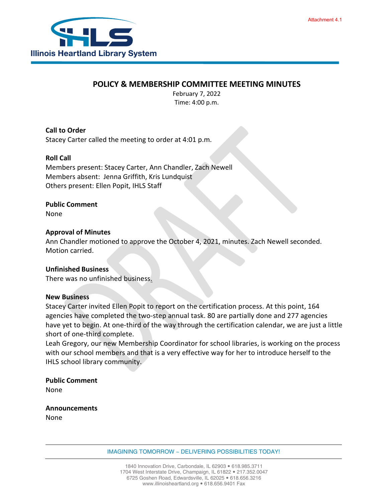

## **POLICY & MEMBERSHIP COMMITTEE MEETING MINUTES**

February 7, 2022 Time: 4:00 p.m.

**Call to Order** Stacey Carter called the meeting to order at 4:01 p.m.

## **Roll Call**

Members present: Stacey Carter, Ann Chandler, Zach Newell Members absent: Jenna Griffith, Kris Lundquist Others present: Ellen Popit, IHLS Staff

### **Public Comment**

None

#### **Approval of Minutes**

Ann Chandler motioned to approve the October 4, 2021, minutes. Zach Newell seconded. Motion carried.

#### **Unfinished Business**

There was no unfinished business.

#### **New Business**

Stacey Carter invited Ellen Popit to report on the certification process. At this point, 164 agencies have completed the two-step annual task. 80 are partially done and 277 agencies have yet to begin. At one-third of the way through the certification calendar, we are just a little short of one-third complete.

Leah Gregory, our new Membership Coordinator for school libraries, is working on the process with our school members and that is a very effective way for her to introduce herself to the IHLS school library community.

**Public Comment** None

**Announcements** None